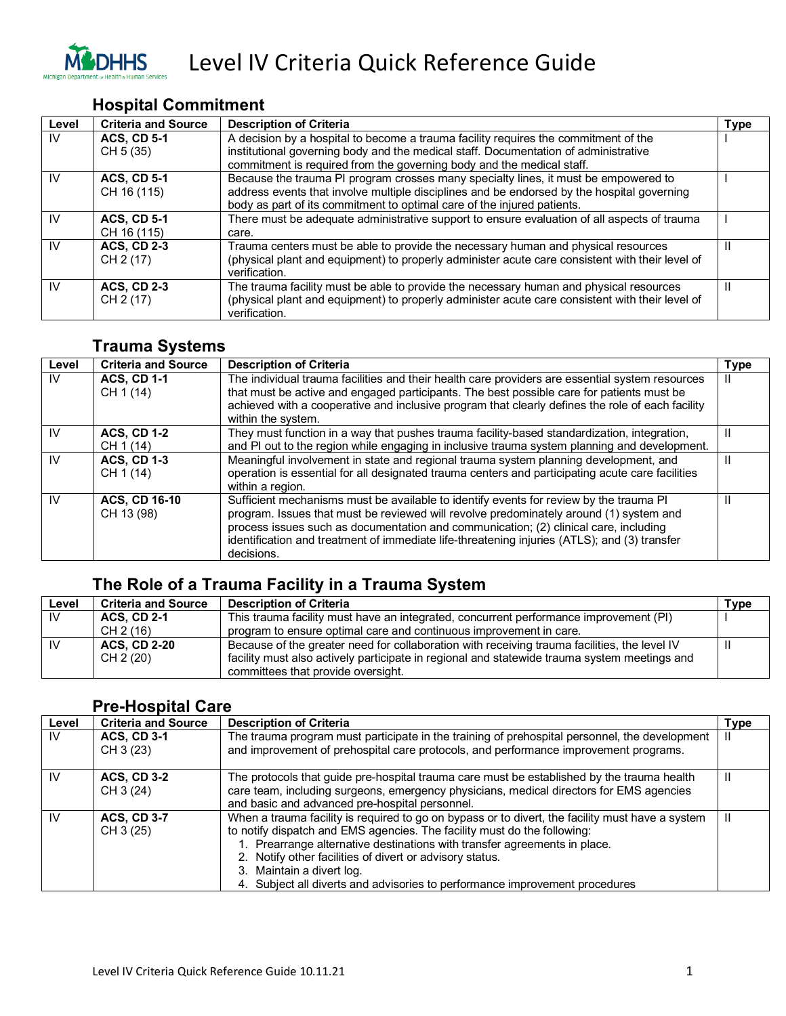

Level IV Criteria Quick Reference Guide

### **Hospital Commitment**

| Level | <b>Criteria and Source</b> | <b>Description of Criteria</b>                                                                  | <b>Type</b> |
|-------|----------------------------|-------------------------------------------------------------------------------------------------|-------------|
| IV    | <b>ACS, CD 5-1</b>         | A decision by a hospital to become a trauma facility requires the commitment of the             |             |
|       | CH 5 (35)                  | institutional governing body and the medical staff. Documentation of administrative             |             |
|       |                            | commitment is required from the governing body and the medical staff.                           |             |
| IV    | <b>ACS, CD 5-1</b>         | Because the trauma PI program crosses many specialty lines, it must be empowered to             |             |
|       | CH 16 (115)                | address events that involve multiple disciplines and be endorsed by the hospital governing      |             |
|       |                            | body as part of its commitment to optimal care of the injured patients.                         |             |
| IV    | <b>ACS, CD 5-1</b>         | There must be adequate administrative support to ensure evaluation of all aspects of trauma     |             |
|       | CH 16 (115)                | care.                                                                                           |             |
| IV    | <b>ACS, CD 2-3</b>         | Trauma centers must be able to provide the necessary human and physical resources               | Ш           |
|       | CH 2 (17)                  | (physical plant and equipment) to properly administer acute care consistent with their level of |             |
|       |                            | verification.                                                                                   |             |
| IV    | <b>ACS, CD 2-3</b>         | The trauma facility must be able to provide the necessary human and physical resources          | Ш           |
|       | CH 2 (17)                  | (physical plant and equipment) to properly administer acute care consistent with their level of |             |
|       |                            | verification.                                                                                   |             |

#### **Trauma Systems**

| Level | <b>Criteria and Source</b>         | <b>Description of Criteria</b>                                                                                                                                                                                                                                                                                                                                                         | <b>Type</b> |
|-------|------------------------------------|----------------------------------------------------------------------------------------------------------------------------------------------------------------------------------------------------------------------------------------------------------------------------------------------------------------------------------------------------------------------------------------|-------------|
| IV    | <b>ACS, CD 1-1</b><br>CH 1 (14)    | The individual trauma facilities and their health care providers are essential system resources<br>that must be active and engaged participants. The best possible care for patients must be<br>achieved with a cooperative and inclusive program that clearly defines the role of each facility<br>within the system.                                                                 |             |
| IV    | <b>ACS, CD 1-2</b><br>CH 1 (14)    | They must function in a way that pushes trauma facility-based standardization, integration,<br>and PI out to the region while engaging in inclusive trauma system planning and development.                                                                                                                                                                                            |             |
| IV    | <b>ACS, CD 1-3</b><br>CH 1 (14)    | Meaningful involvement in state and regional trauma system planning development, and<br>operation is essential for all designated trauma centers and participating acute care facilities<br>within a region.                                                                                                                                                                           |             |
| IV    | <b>ACS, CD 16-10</b><br>CH 13 (98) | Sufficient mechanisms must be available to identify events for review by the trauma PI<br>program. Issues that must be reviewed will revolve predominately around (1) system and<br>process issues such as documentation and communication; (2) clinical care, including<br>identification and treatment of immediate life-threatening injuries (ATLS); and (3) transfer<br>decisions. |             |

## **The Role of a Trauma Facility in a Trauma System**

| Level | <b>Criteria and Source</b> | <b>Description of Criteria</b>                                                               | Type |
|-------|----------------------------|----------------------------------------------------------------------------------------------|------|
| IV.   | <b>ACS. CD 2-1</b>         | This trauma facility must have an integrated, concurrent performance improvement (PI)        |      |
|       | CH 2 (16)                  | program to ensure optimal care and continuous improvement in care.                           |      |
|       | <b>ACS, CD 2-20</b>        | Because of the greater need for collaboration with receiving trauma facilities, the level IV |      |
|       | CH 2 (20)                  | facility must also actively participate in regional and statewide trauma system meetings and |      |
|       |                            | committees that provide oversight.                                                           |      |

#### **Pre-Hospital Care**

| Level     | <b>Criteria and Source</b>      | <b>Description of Criteria</b>                                                                                                                                                                                                                                                                                                                                                                                                    | <b>Type</b> |
|-----------|---------------------------------|-----------------------------------------------------------------------------------------------------------------------------------------------------------------------------------------------------------------------------------------------------------------------------------------------------------------------------------------------------------------------------------------------------------------------------------|-------------|
| IV        | <b>ACS, CD 3-1</b><br>CH 3 (23) | The trauma program must participate in the training of prehospital personnel, the development<br>and improvement of prehospital care protocols, and performance improvement programs.                                                                                                                                                                                                                                             |             |
| <b>IV</b> | <b>ACS, CD 3-2</b><br>CH 3 (24) | The protocols that guide pre-hospital trauma care must be established by the trauma health<br>care team, including surgeons, emergency physicians, medical directors for EMS agencies<br>and basic and advanced pre-hospital personnel.                                                                                                                                                                                           | Ш           |
| <b>IV</b> | <b>ACS, CD 3-7</b><br>CH 3 (25) | When a trauma facility is required to go on bypass or to divert, the facility must have a system<br>to notify dispatch and EMS agencies. The facility must do the following:<br>1. Prearrange alternative destinations with transfer agreements in place.<br>2. Notify other facilities of divert or advisory status.<br>3. Maintain a divert log.<br>4. Subject all diverts and advisories to performance improvement procedures |             |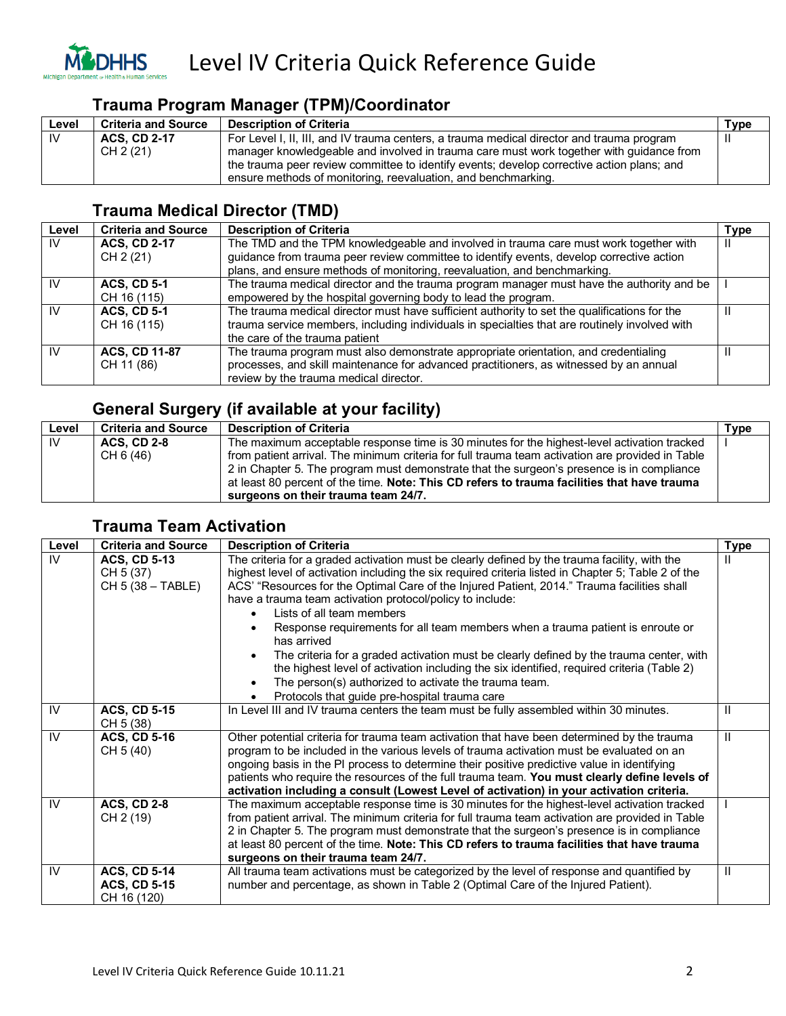

#### **Trauma Program Manager (TPM)/Coordinator**

| Level | <b>Criteria and Source</b> | <b>Description of Criteria</b>                                                            | Type |
|-------|----------------------------|-------------------------------------------------------------------------------------------|------|
| 1V    | <b>ACS. CD 2-17</b>        | For Level I, II, III, and IV trauma centers, a trauma medical director and trauma program |      |
|       | CH 2 (21)                  | manager knowledgeable and involved in trauma care must work together with quidance from   |      |
|       |                            | the trauma peer review committee to identify events; develop corrective action plans; and |      |
|       |                            | ensure methods of monitoring, reevaluation, and benchmarking.                             |      |

### **Trauma Medical Director (TMD)**

| Level     | <b>Criteria and Source</b> | <b>Description of Criteria</b>                                                                | <b>Type</b> |
|-----------|----------------------------|-----------------------------------------------------------------------------------------------|-------------|
| -lV       | <b>ACS, CD 2-17</b>        | The TMD and the TPM knowledgeable and involved in trauma care must work together with         | Ш           |
|           | CH 2 (21)                  | guidance from trauma peer review committee to identify events, develop corrective action      |             |
|           |                            | plans, and ensure methods of monitoring, reevaluation, and benchmarking.                      |             |
| IV        | <b>ACS, CD 5-1</b>         | The trauma medical director and the trauma program manager must have the authority and be     |             |
|           | CH 16 (115)                | empowered by the hospital governing body to lead the program.                                 |             |
| <b>IV</b> | <b>ACS, CD 5-1</b>         | The trauma medical director must have sufficient authority to set the qualifications for the  |             |
|           | CH 16 (115)                | trauma service members, including individuals in specialties that are routinely involved with |             |
|           |                            | the care of the trauma patient                                                                |             |
| <b>IV</b> | <b>ACS, CD 11-87</b>       | The trauma program must also demonstrate appropriate orientation, and credentialing           |             |
|           | CH 11 (86)                 | processes, and skill maintenance for advanced practitioners, as witnessed by an annual        |             |
|           |                            | review by the trauma medical director.                                                        |             |

#### **General Surgery (if available at your facility)**

| Level | <b>Criteria and Source</b> | <b>Description of Criteria</b>                                                                   | Type |
|-------|----------------------------|--------------------------------------------------------------------------------------------------|------|
| 1V    | <b>ACS. CD 2-8</b>         | The maximum acceptable response time is 30 minutes for the highest-level activation tracked      |      |
|       | CH 6 (46)                  | from patient arrival. The minimum criteria for full trauma team activation are provided in Table |      |
|       |                            | 2 in Chapter 5. The program must demonstrate that the surgeon's presence is in compliance        |      |
|       |                            | at least 80 percent of the time. Note: This CD refers to trauma facilities that have trauma      |      |
|       |                            | surgeons on their trauma team 24/7.                                                              |      |

#### **Trauma Team Activation**

| Level     | <b>Criteria and Source</b>                                | <b>Description of Criteria</b>                                                                                                                                                                                                                                                                                                                                                                                                                                                                                                                                                                                                                                                                                                                                                                                | <b>Type</b> |
|-----------|-----------------------------------------------------------|---------------------------------------------------------------------------------------------------------------------------------------------------------------------------------------------------------------------------------------------------------------------------------------------------------------------------------------------------------------------------------------------------------------------------------------------------------------------------------------------------------------------------------------------------------------------------------------------------------------------------------------------------------------------------------------------------------------------------------------------------------------------------------------------------------------|-------------|
| IV        | <b>ACS, CD 5-13</b><br>CH 5 (37)<br>CH 5 (38 - TABLE)     | The criteria for a graded activation must be clearly defined by the trauma facility, with the<br>highest level of activation including the six required criteria listed in Chapter 5; Table 2 of the<br>ACS' "Resources for the Optimal Care of the Injured Patient, 2014." Trauma facilities shall<br>have a trauma team activation protocol/policy to include:<br>Lists of all team members<br>Response requirements for all team members when a trauma patient is enroute or<br>has arrived<br>The criteria for a graded activation must be clearly defined by the trauma center, with<br>$\bullet$<br>the highest level of activation including the six identified, required criteria (Table 2)<br>The person(s) authorized to activate the trauma team.<br>Protocols that guide pre-hospital trauma care | Ш           |
| IV        | <b>ACS, CD 5-15</b><br>CH 5 (38)                          | In Level III and IV trauma centers the team must be fully assembled within 30 minutes.                                                                                                                                                                                                                                                                                                                                                                                                                                                                                                                                                                                                                                                                                                                        | Ш           |
| IV        | <b>ACS, CD 5-16</b><br>CH 5 (40)                          | Other potential criteria for trauma team activation that have been determined by the trauma<br>program to be included in the various levels of trauma activation must be evaluated on an<br>ongoing basis in the PI process to determine their positive predictive value in identifying<br>patients who require the resources of the full trauma team. You must clearly define levels of<br>activation including a consult (Lowest Level of activation) in your activation criteria.                                                                                                                                                                                                                                                                                                                          | Ш           |
| <b>IV</b> | <b>ACS, CD 2-8</b><br>CH 2 (19)                           | The maximum acceptable response time is 30 minutes for the highest-level activation tracked<br>from patient arrival. The minimum criteria for full trauma team activation are provided in Table<br>2 in Chapter 5. The program must demonstrate that the surgeon's presence is in compliance<br>at least 80 percent of the time. Note: This CD refers to trauma facilities that have trauma<br>surgeons on their trauma team 24/7.                                                                                                                                                                                                                                                                                                                                                                            |             |
| <b>IV</b> | <b>ACS, CD 5-14</b><br><b>ACS, CD 5-15</b><br>CH 16 (120) | All trauma team activations must be categorized by the level of response and quantified by<br>number and percentage, as shown in Table 2 (Optimal Care of the Injured Patient).                                                                                                                                                                                                                                                                                                                                                                                                                                                                                                                                                                                                                               | Ш           |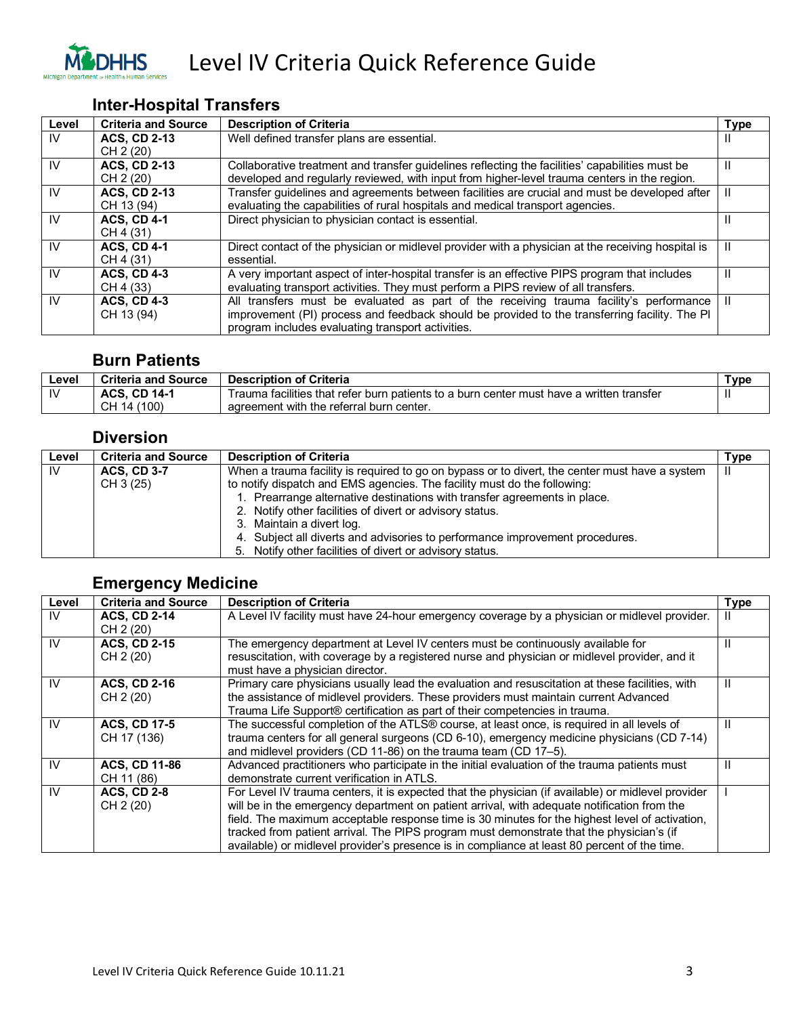

### **Inter-Hospital Transfers**

| Level | <b>Criteria and Source</b> | <b>Description of Criteria</b>                                                                     | <b>Type</b> |
|-------|----------------------------|----------------------------------------------------------------------------------------------------|-------------|
| IV    | <b>ACS. CD 2-13</b>        | Well defined transfer plans are essential.                                                         | ш           |
|       | CH 2 (20)                  |                                                                                                    |             |
| IV    | <b>ACS. CD 2-13</b>        | Collaborative treatment and transfer guidelines reflecting the facilities' capabilities must be    | н           |
|       | CH 2 (20)                  | developed and regularly reviewed, with input from higher-level trauma centers in the region.       |             |
| IV    | <b>ACS, CD 2-13</b>        | Transfer guidelines and agreements between facilities are crucial and must be developed after      | Ш           |
|       | CH 13 (94)                 | evaluating the capabilities of rural hospitals and medical transport agencies.                     |             |
| IV    | <b>ACS, CD 4-1</b>         | Direct physician to physician contact is essential.                                                | Ш           |
|       | CH 4 (31)                  |                                                                                                    |             |
| IV    | <b>ACS, CD 4-1</b>         | Direct contact of the physician or midlevel provider with a physician at the receiving hospital is | Ш           |
|       | CH 4 (31)                  | essential.                                                                                         |             |
| IV    | <b>ACS, CD 4-3</b>         | A very important aspect of inter-hospital transfer is an effective PIPS program that includes      | Ш           |
|       | CH 4 (33)                  | evaluating transport activities. They must perform a PIPS review of all transfers.                 |             |
| IV    | <b>ACS. CD 4-3</b>         | All transfers must be evaluated as part of the receiving trauma facility's performance             | Ш           |
|       | CH 13 (94)                 | improvement (PI) process and feedback should be provided to the transferring facility. The PI      |             |
|       |                            | program includes evaluating transport activities.                                                  |             |

#### **Burn Patients**

| Level     | <b>Criteria and Source</b> | <b>Description of Criteria</b>                                                           | ⊤уре         |
|-----------|----------------------------|------------------------------------------------------------------------------------------|--------------|
| <b>IV</b> | <b>ACS, CD 14-1</b>        | Trauma facilities that refer burn patients to a burn center must have a written transfer | $\mathbf{I}$ |
|           | CH 14<br>(100)             | agreement with the referral burn center.                                                 |              |

#### **Diversion**

| Level | <b>Criteria and Source</b>      | <b>Description of Criteria</b>                                                                                                                                                                                                                                                                                                                                                                                                                                                               | Type |
|-------|---------------------------------|----------------------------------------------------------------------------------------------------------------------------------------------------------------------------------------------------------------------------------------------------------------------------------------------------------------------------------------------------------------------------------------------------------------------------------------------------------------------------------------------|------|
| .IV   | <b>ACS, CD 3-7</b><br>CH 3 (25) | When a trauma facility is required to go on bypass or to divert, the center must have a system<br>to notify dispatch and EMS agencies. The facility must do the following:<br>1. Prearrange alternative destinations with transfer agreements in place.<br>2. Notify other facilities of divert or advisory status.<br>3. Maintain a divert log.<br>4. Subject all diverts and advisories to performance improvement procedures.<br>5. Notify other facilities of divert or advisory status. | Ш    |

## **Emergency Medicine**

| Level | <b>Criteria and Source</b>         | <b>Description of Criteria</b>                                                                                                                                                                                                                                                                                                                                                                                                                                                                  | Type |
|-------|------------------------------------|-------------------------------------------------------------------------------------------------------------------------------------------------------------------------------------------------------------------------------------------------------------------------------------------------------------------------------------------------------------------------------------------------------------------------------------------------------------------------------------------------|------|
| IV    | <b>ACS, CD 2-14</b><br>CH 2 (20)   | A Level IV facility must have 24-hour emergency coverage by a physician or midlevel provider.                                                                                                                                                                                                                                                                                                                                                                                                   |      |
| 1V    | <b>ACS. CD 2-15</b><br>CH 2 (20)   | The emergency department at Level IV centers must be continuously available for<br>resuscitation, with coverage by a registered nurse and physician or midlevel provider, and it<br>must have a physician director.                                                                                                                                                                                                                                                                             | Ш    |
| IV    | <b>ACS, CD 2-16</b><br>CH 2 (20)   | Primary care physicians usually lead the evaluation and resuscitation at these facilities, with<br>the assistance of midlevel providers. These providers must maintain current Advanced<br>Trauma Life Support® certification as part of their competencies in trauma.                                                                                                                                                                                                                          | Ш    |
| 1V    | <b>ACS, CD 17-5</b><br>CH 17 (136) | The successful completion of the ATLS® course, at least once, is required in all levels of<br>trauma centers for all general surgeons (CD 6-10), emergency medicine physicians (CD 7-14)<br>and midlevel providers (CD 11-86) on the trauma team (CD 17-5).                                                                                                                                                                                                                                     | Ш    |
| IV    | <b>ACS. CD 11-86</b><br>CH 11 (86) | Advanced practitioners who participate in the initial evaluation of the trauma patients must<br>demonstrate current verification in ATLS.                                                                                                                                                                                                                                                                                                                                                       |      |
| IV.   | <b>ACS, CD 2-8</b><br>CH 2 (20)    | For Level IV trauma centers, it is expected that the physician (if available) or midlevel provider<br>will be in the emergency department on patient arrival, with adequate notification from the<br>field. The maximum acceptable response time is 30 minutes for the highest level of activation,<br>tracked from patient arrival. The PIPS program must demonstrate that the physician's (if<br>available) or midlevel provider's presence is in compliance at least 80 percent of the time. |      |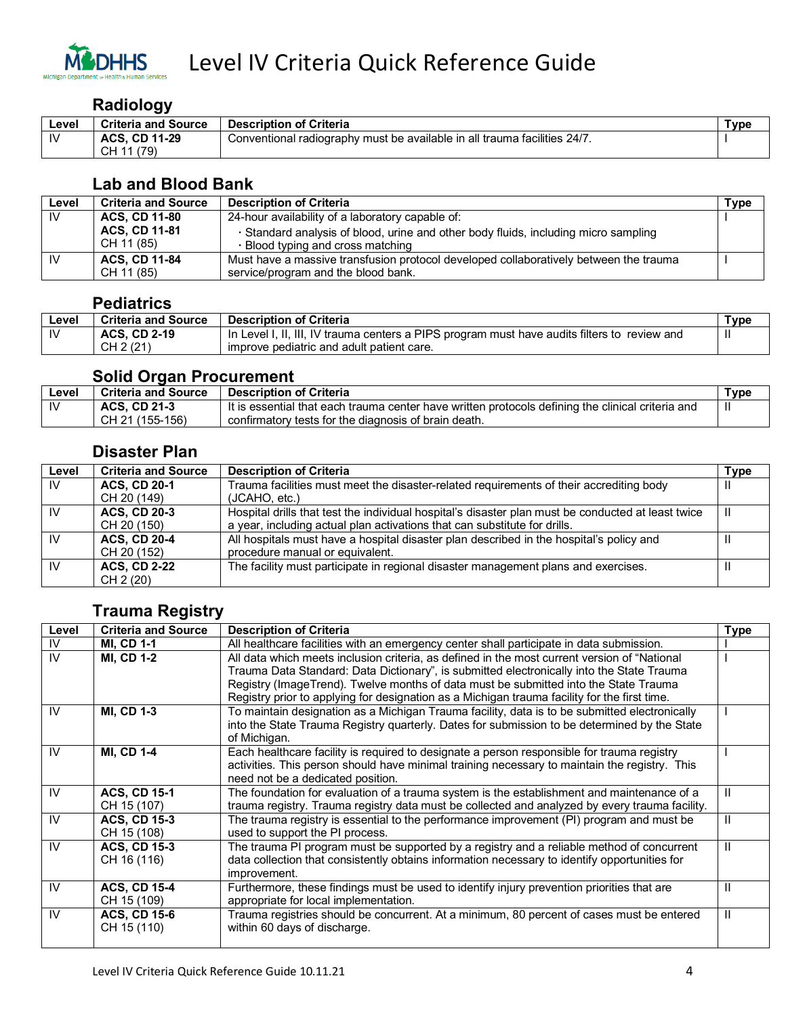

#### **Radiology**

| Level | <b>Criteria and Source</b> | <b>Description of Criteria</b>                                            | туре |
|-------|----------------------------|---------------------------------------------------------------------------|------|
| IV    | <b>ACS. CD 11-29</b>       | Conventional radiography must be available in all trauma facilities 24/7. |      |
|       | (79<br>CH 11               |                                                                           |      |

### **Lab and Blood Bank**

| Level | <b>Criteria and Source</b>         | <b>Description of Criteria</b>                                                                                           | Type |
|-------|------------------------------------|--------------------------------------------------------------------------------------------------------------------------|------|
| IV    | <b>ACS, CD 11-80</b>               | 24-hour availability of a laboratory capable of:                                                                         |      |
|       | <b>ACS, CD 11-81</b><br>CH 11 (85) | · Standard analysis of blood, urine and other body fluids, including micro sampling<br>. Blood typing and cross matching |      |
| IV    | <b>ACS, CD 11-84</b>               | Must have a massive transfusion protocol developed collaboratively between the trauma                                    |      |
|       | CH 11 (85)                         | service/program and the blood bank.                                                                                      |      |

#### **Pediatrics**

| ∟evel | <b>Criteria and Source</b> | <b>Description of Criteria</b>                                                               | ™уре |
|-------|----------------------------|----------------------------------------------------------------------------------------------|------|
| -lV   | <b>ACS. CD 2-19</b>        | In Level I, II, III, IV trauma centers a PIPS program must have audits filters to review and | Ш    |
|       | CH 2 (21)                  | improve pediatric and adult patient care.                                                    |      |
|       |                            |                                                                                              |      |

#### **Solid Organ Procurement**

| ∟evel        | <b>Criteria and Source</b> | <b>Description of Criteria</b>                                                                    | Type |
|--------------|----------------------------|---------------------------------------------------------------------------------------------------|------|
| $\mathbf{N}$ | <b>ACS, CD 21-3</b>        | It is essential that each trauma center have written protocols defining the clinical criteria and |      |
|              | CH 21 (155-156)            | confirmatory tests for the diagnosis of brain death.                                              |      |

#### **Disaster Plan**

| Level     | <b>Criteria and Source</b> | <b>Description of Criteria</b>                                                                     | Type |
|-----------|----------------------------|----------------------------------------------------------------------------------------------------|------|
| IV.       | <b>ACS. CD 20-1</b>        | Trauma facilities must meet the disaster-related requirements of their accrediting body            | Ш    |
|           | CH 20 (149)                | (JCAHO, etc.)                                                                                      |      |
| <b>IV</b> | <b>ACS, CD 20-3</b>        | Hospital drills that test the individual hospital's disaster plan must be conducted at least twice | Ш    |
|           | CH 20 (150)                | a year, including actual plan activations that can substitute for drills.                          |      |
| <b>IV</b> | <b>ACS, CD 20-4</b>        | All hospitals must have a hospital disaster plan described in the hospital's policy and            | Ш    |
|           | CH 20 (152)                | procedure manual or equivalent.                                                                    |      |
| <b>IV</b> | <b>ACS, CD 2-22</b>        | The facility must participate in regional disaster management plans and exercises.                 | Ш    |
|           | CH 2 (20)                  |                                                                                                    |      |

## **Trauma Registry**

| Level | <b>Criteria and Source</b> | <b>Description of Criteria</b>                                                                 | Type |
|-------|----------------------------|------------------------------------------------------------------------------------------------|------|
| IV    | <b>MI, CD 1-1</b>          | All healthcare facilities with an emergency center shall participate in data submission.       |      |
| IV    | <b>MI, CD 1-2</b>          | All data which meets inclusion criteria, as defined in the most current version of "National   |      |
|       |                            | Trauma Data Standard: Data Dictionary", is submitted electronically into the State Trauma      |      |
|       |                            | Registry (ImageTrend). Twelve months of data must be submitted into the State Trauma           |      |
|       |                            | Registry prior to applying for designation as a Michigan trauma facility for the first time.   |      |
| IV    | <b>MI, CD 1-3</b>          | To maintain designation as a Michigan Trauma facility, data is to be submitted electronically  |      |
|       |                            | into the State Trauma Registry quarterly. Dates for submission to be determined by the State   |      |
|       |                            | of Michigan.                                                                                   |      |
| IV    | <b>MI, CD 1-4</b>          | Each healthcare facility is required to designate a person responsible for trauma registry     |      |
|       |                            | activities. This person should have minimal training necessary to maintain the registry. This  |      |
|       |                            | need not be a dedicated position.                                                              |      |
| IV    | <b>ACS, CD 15-1</b>        | The foundation for evaluation of a trauma system is the establishment and maintenance of a     | Ш    |
|       | CH 15 (107)                | trauma registry. Trauma registry data must be collected and analyzed by every trauma facility. |      |
| IV    | <b>ACS, CD 15-3</b>        | The trauma registry is essential to the performance improvement (PI) program and must be       | Ш    |
|       | CH 15 (108)                | used to support the PI process.                                                                |      |
| IV    | <b>ACS, CD 15-3</b>        | The trauma PI program must be supported by a registry and a reliable method of concurrent      | Ш    |
|       | CH 16 (116)                | data collection that consistently obtains information necessary to identify opportunities for  |      |
|       |                            | improvement.                                                                                   |      |
| 1V    | <b>ACS, CD 15-4</b>        | Furthermore, these findings must be used to identify injury prevention priorities that are     | Ш    |
|       | CH 15 (109)                | appropriate for local implementation.                                                          |      |
| IV    | <b>ACS, CD 15-6</b>        | Trauma registries should be concurrent. At a minimum, 80 percent of cases must be entered      | Ш    |
|       | CH 15 (110)                | within 60 days of discharge.                                                                   |      |
|       |                            |                                                                                                |      |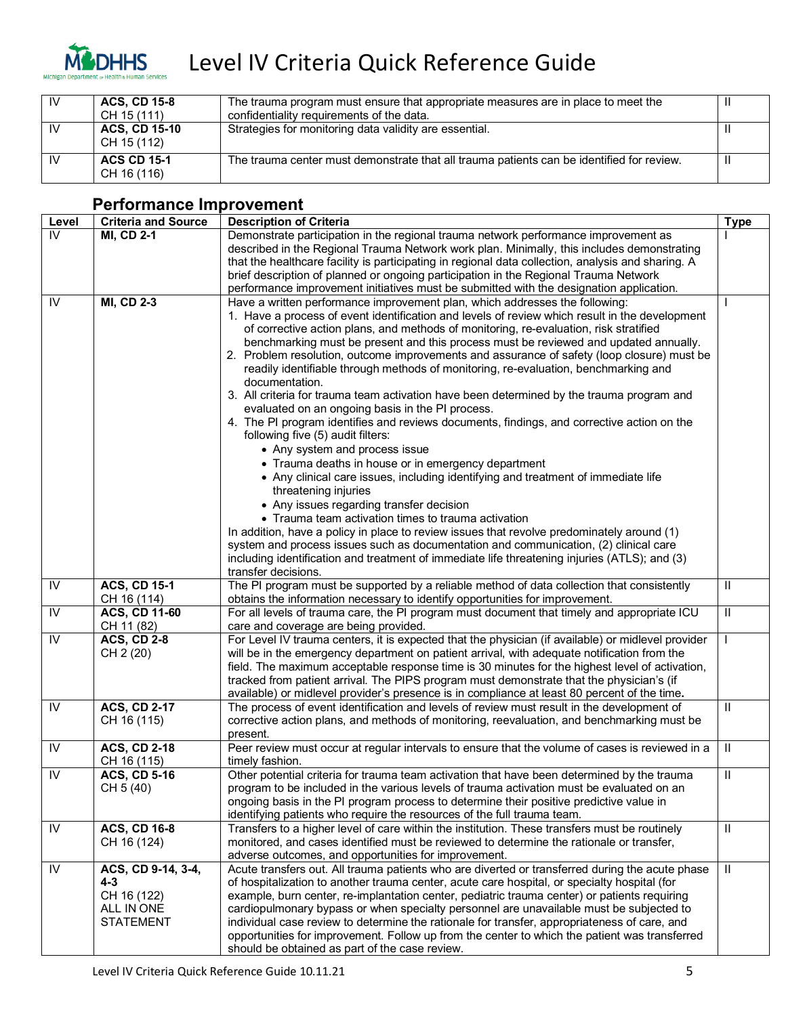

# Level IV Criteria Quick Reference Guide

| <b>IV</b> | <b>ACS. CD 15-8</b><br>CH 15 (111)  | The trauma program must ensure that appropriate measures are in place to meet the<br>confidentiality requirements of the data. |  |
|-----------|-------------------------------------|--------------------------------------------------------------------------------------------------------------------------------|--|
| <b>IV</b> | <b>ACS, CD 15-10</b><br>CH 15 (112) | Strategies for monitoring data validity are essential.                                                                         |  |
| 1V        | <b>ACS CD 15-1</b><br>CH 16 (116)   | The trauma center must demonstrate that all trauma patients can be identified for review.                                      |  |

| Level                   | <b>Criteria and Source</b>    | <b>Description of Criteria</b>                                                                                                                                                                  | <b>Type</b>             |
|-------------------------|-------------------------------|-------------------------------------------------------------------------------------------------------------------------------------------------------------------------------------------------|-------------------------|
| IV                      | <b>MI, CD 2-1</b>             | Demonstrate participation in the regional trauma network performance improvement as                                                                                                             |                         |
|                         |                               | described in the Regional Trauma Network work plan. Minimally, this includes demonstrating                                                                                                      |                         |
|                         |                               | that the healthcare facility is participating in regional data collection, analysis and sharing. A                                                                                              |                         |
|                         |                               | brief description of planned or ongoing participation in the Regional Trauma Network                                                                                                            |                         |
|                         |                               | performance improvement initiatives must be submitted with the designation application.                                                                                                         |                         |
| IV                      | <b>MI, CD 2-3</b>             | Have a written performance improvement plan, which addresses the following:                                                                                                                     |                         |
|                         |                               | 1. Have a process of event identification and levels of review which result in the development                                                                                                  |                         |
|                         |                               | of corrective action plans, and methods of monitoring, re-evaluation, risk stratified                                                                                                           |                         |
|                         |                               | benchmarking must be present and this process must be reviewed and updated annually.                                                                                                            |                         |
|                         |                               | 2. Problem resolution, outcome improvements and assurance of safety (loop closure) must be                                                                                                      |                         |
|                         |                               | readily identifiable through methods of monitoring, re-evaluation, benchmarking and<br>documentation.                                                                                           |                         |
|                         |                               | 3. All criteria for trauma team activation have been determined by the trauma program and                                                                                                       |                         |
|                         |                               | evaluated on an ongoing basis in the PI process.                                                                                                                                                |                         |
|                         |                               | 4. The PI program identifies and reviews documents, findings, and corrective action on the                                                                                                      |                         |
|                         |                               | following five (5) audit filters:                                                                                                                                                               |                         |
|                         |                               | • Any system and process issue                                                                                                                                                                  |                         |
|                         |                               | • Trauma deaths in house or in emergency department                                                                                                                                             |                         |
|                         |                               | • Any clinical care issues, including identifying and treatment of immediate life                                                                                                               |                         |
|                         |                               | threatening injuries                                                                                                                                                                            |                         |
|                         |                               | • Any issues regarding transfer decision                                                                                                                                                        |                         |
|                         |                               | • Trauma team activation times to trauma activation                                                                                                                                             |                         |
|                         |                               | In addition, have a policy in place to review issues that revolve predominately around (1)                                                                                                      |                         |
|                         |                               | system and process issues such as documentation and communication, (2) clinical care                                                                                                            |                         |
|                         |                               | including identification and treatment of immediate life threatening injuries (ATLS); and (3)<br>transfer decisions.                                                                            |                         |
| IV                      | <b>ACS, CD 15-1</b>           | The PI program must be supported by a reliable method of data collection that consistently                                                                                                      | Ш                       |
|                         | CH 16 (114)                   | obtains the information necessary to identify opportunities for improvement.                                                                                                                    |                         |
| IV                      | <b>ACS, CD 11-60</b>          | For all levels of trauma care, the PI program must document that timely and appropriate ICU                                                                                                     | $\overline{\mathbb{I}}$ |
|                         | CH 11 (82)                    | care and coverage are being provided.                                                                                                                                                           |                         |
| $\overline{N}$          | <b>ACS, CD 2-8</b>            | For Level IV trauma centers, it is expected that the physician (if available) or midlevel provider                                                                                              |                         |
|                         | CH 2 (20)                     | will be in the emergency department on patient arrival, with adequate notification from the                                                                                                     |                         |
|                         |                               | field. The maximum acceptable response time is 30 minutes for the highest level of activation,                                                                                                  |                         |
|                         |                               | tracked from patient arrival. The PIPS program must demonstrate that the physician's (if                                                                                                        |                         |
|                         |                               | available) or midlevel provider's presence is in compliance at least 80 percent of the time.                                                                                                    |                         |
| $\overline{\mathsf{N}}$ | <b>ACS, CD 2-17</b>           | The process of event identification and levels of review must result in the development of                                                                                                      | Ш                       |
|                         | CH 16 (115)                   | corrective action plans, and methods of monitoring, reevaluation, and benchmarking must be<br>present.                                                                                          |                         |
| IV                      | <b>ACS, CD 2-18</b>           | Peer review must occur at regular intervals to ensure that the volume of cases is reviewed in a                                                                                                 | $\mathbf{H}$            |
|                         | CH 16 (115)                   | timely fashion.                                                                                                                                                                                 |                         |
| IV                      | <b>ACS, CD 5-16</b>           | Other potential criteria for trauma team activation that have been determined by the trauma                                                                                                     | $\mathbf{H}$            |
|                         | CH 5 (40)                     | program to be included in the various levels of trauma activation must be evaluated on an                                                                                                       |                         |
|                         |                               | ongoing basis in the PI program process to determine their positive predictive value in                                                                                                         |                         |
|                         |                               | identifying patients who require the resources of the full trauma team.                                                                                                                         |                         |
| IV                      | <b>ACS, CD 16-8</b>           | Transfers to a higher level of care within the institution. These transfers must be routinely                                                                                                   | $\mathbf{H}$            |
|                         | CH 16 (124)                   | monitored, and cases identified must be reviewed to determine the rationale or transfer,                                                                                                        |                         |
|                         |                               | adverse outcomes, and opportunities for improvement.                                                                                                                                            |                         |
| IV                      | ACS, CD 9-14, 3-4,<br>$4 - 3$ | Acute transfers out. All trauma patients who are diverted or transferred during the acute phase<br>of hospitalization to another trauma center, acute care hospital, or specialty hospital (for | $\mathbf{H}$            |
|                         | CH 16 (122)                   | example, burn center, re-implantation center, pediatric trauma center) or patients requiring                                                                                                    |                         |
|                         | ALL IN ONE                    | cardiopulmonary bypass or when specialty personnel are unavailable must be subjected to                                                                                                         |                         |
|                         | <b>STATEMENT</b>              | individual case review to determine the rationale for transfer, appropriateness of care, and                                                                                                    |                         |
|                         |                               | opportunities for improvement. Follow up from the center to which the patient was transferred                                                                                                   |                         |
|                         |                               | should be obtained as part of the case review.                                                                                                                                                  |                         |

#### **Performance Improvement**